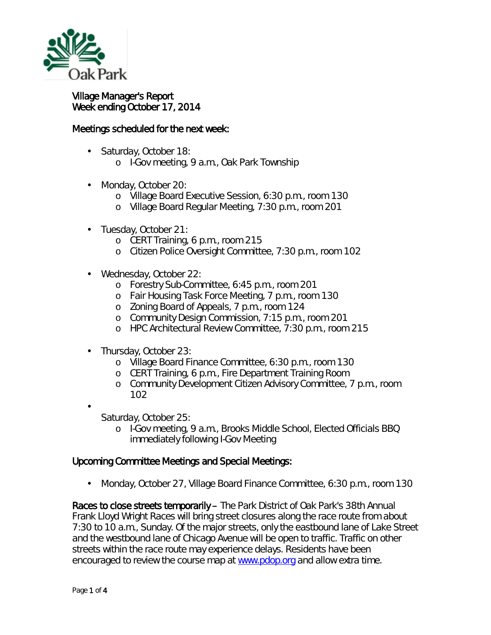

## Village Manager's Report Week ending October 17, 2014

## Meetings scheduled for the next week:

- Saturday, October 18:
	- o I-Gov meeting, 9 a.m., Oak Park Township
- Monday, October 20:  $\overline{a}$ 
	- o Village Board Executive Session, 6:30 p.m., room 130
	- o Village Board Regular Meeting, 7:30 p.m., room 201
- Tuesday, October 21:
	- o CERT Training, 6 p.m., room 215
	- o Citizen Police Oversight Committee, 7:30 p.m., room 102
- Wednesday, October 22:
	- o Forestry Sub-Committee, 6:45 p.m., room 201
	- o Fair Housing Task Force Meeting, 7 p.m., room 130
	- o Zoning Board of Appeals, 7 p.m., room 124
	- o Community Design Commission, 7:15 p.m., room 201
	- o HPC Architectural Review Committee, 7:30 p.m., room 215
- Thursday, October 23:
	- o Village Board Finance Committee, 6:30 p.m., room 130
	- o CERT Training, 6 p.m., Fire Department Training Room
	- o Community Development Citizen Advisory Committee, 7 p.m., room 102

Saturday, October 25:

o I-Gov meeting, 9 a.m., Brooks Middle School, Elected Officials BBQ immediately following I-Gov Meeting

## Upcoming Committee Meetings and Special Meetings:

Monday, October 27, Village Board Finance Committee, 6:30 p.m., room 130 ä,

Races to close streets temporarily – The Park District of Oak Park's 38th Annual Frank Lloyd Wright Races will bring street closures along the race route from about 7:30 to 10 a.m., Sunday. Of the major streets, only the eastbound lane of Lake Street and the westbound lane of Chicago Avenue will be open to traffic. Traffic on other streets within the race route may experience delays. Residents have been encouraged to review the course map at [www.pdop.org](http://r20.rs6.net/tn.jsp?f=001D-bwJ5qhM5t0K4oC6EmXvf6z15Fxn8rZnOo0YU1JZnOq3Rd5NUcqOD4QDHmPuSdmbfbbZ6H4AUo1CjVTzqp5QMI276uTkbF8CI6Ybcy3FUP0r94PGoueAyXuBHsFRW_WWzrnhbtf4Ws6bgEU5vJh5XKG0b5A3fkZNr7Fn6lN8wpRVlDhhmkqYGqqEGfqU6lgAVdEGwIKoaJgapopm8dbg9LrUYxaYUydkmGn1IcWWlbHjZ5DtW6ERwOw6SbnZQr-7_YYE-IF-aM0-lxXz8Vwgg==&c=y_yjo8X1fiGplIiDSqbasacUybw043dG1--XtdRL1jX2FYNvRuBQcg==&ch=iOI_6Xr-bz98jmXRf158d6lTicHtKR1WHcav_6CUsjHl3shs0PBaxg==) and allow extra time.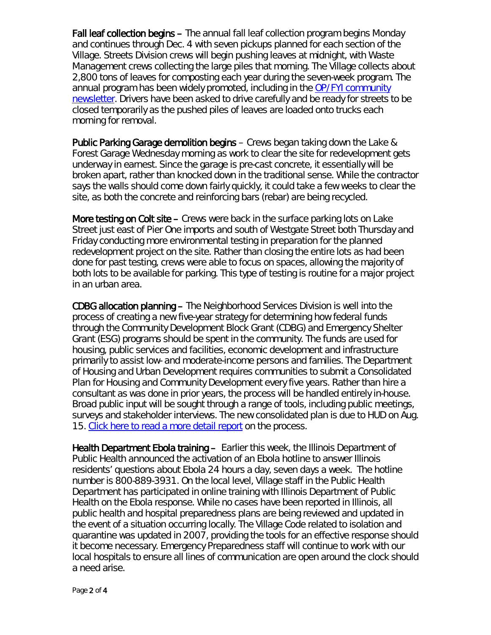Fall leaf collection begins – The annual fall leaf collection program begins Monday and continues through Dec. 4 with seven pickups planned for each section of the Village. Streets Division crews will begin pushing leaves at midnight, with Waste Management crews collecting the large piles that morning. The Village collects about 2,800 tons of leaves for composting each year during the seven-week program. The annual program has been widely promoted, including in the [OP/FYI community](http://www.oak-park.us/newsletters/october-2014/fall-leaf-collection-begins-month)  [newsletter.](http://www.oak-park.us/newsletters/october-2014/fall-leaf-collection-begins-month) Drivers have been asked to drive carefully and be ready for streets to be closed temporarily as the pushed piles of leaves are loaded onto trucks each morning for removal.

Public Parking Garage demolition begins – Crews began taking down the Lake & Forest Garage Wednesday morning as work to clear the site for redevelopment gets underway in earnest. Since the garage is pre-cast concrete, it essentially will be broken apart, rather than knocked down in the traditional sense. While the contractor says the walls should come down fairly quickly, it could take a few weeks to clear the site, as both the concrete and reinforcing bars (rebar) are being recycled.

More testing on Colt site – Crews were back in the surface parking lots on Lake Street just east of Pier One imports and south of Westgate Street both Thursday and Friday conducting more environmental testing in preparation for the planned redevelopment project on the site. Rather than closing the entire lots as had been done for past testing, crews were able to focus on spaces, allowing the majority of both lots to be available for parking. This type of testing is routine for a major project in an urban area.

CDBG allocation planning – The Neighborhood Services Division is well into the process of creating a new five-year strategy for determining how federal funds through the Community Development Block Grant (CDBG) and Emergency Shelter Grant (ESG) programs should be spent in the community. The funds are used for housing, public services and facilities, economic development and infrastructure primarily to assist low- and moderate-income persons and families. The Department of Housing and Urban Development requires communities to submit a *Consolidated Plan for Housing and Community Development* every five years. Rather than hire a consultant as was done in prior years, the process will be handled entirely in-house. Broad public input will be sought through a range of tools, including public meetings, surveys and stakeholder interviews. The new consolidated plan is due to HUD on Aug. 15. [Click here to read a more detail report](http://www.oak-park.us/sites/default/files/456678891/2014-10-09-CDGB-consolidated-plan-memo.pdf) on the process.

Health Department Ebola training - Earlier this week, the Illinois Department of Public Health announced the activation of an Ebola hotline to answer Illinois residents' questions about Ebola 24 hours a day, seven days a week. The hotline number is 800-889-3931. On the local level, Village staff in the Public Health Department has participated in online training with Illinois Department of Public Health on the Ebola response. While no cases have been reported in Illinois, all public health and hospital preparedness plans are being reviewed and updated in the event of a situation occurring locally. The Village Code related to isolation and quarantine was updated in 2007, providing the tools for an effective response should it become necessary. Emergency Preparedness staff will continue to work with our local hospitals to ensure all lines of communication are open around the clock should a need arise.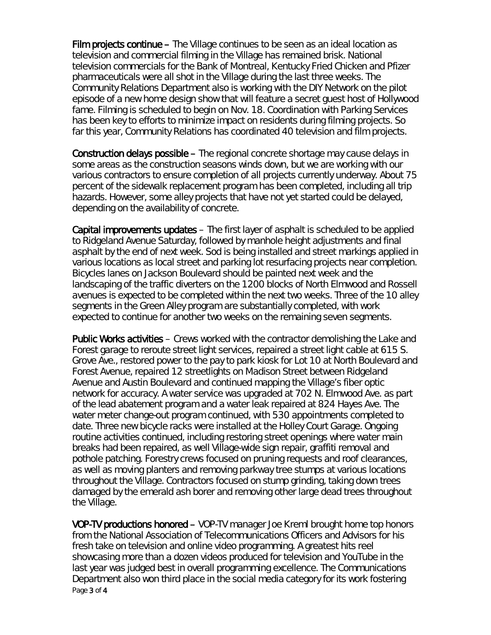Film projects continue – The Village continues to be seen as an ideal location as television and commercial filming in the Village has remained brisk. National television commercials for the Bank of Montreal, Kentucky Fried Chicken and Pfizer pharmaceuticals were all shot in the Village during the last three weeks. The Community Relations Department also is working with the DIY Network on the pilot episode of a new home design show that will feature a secret guest host of Hollywood fame. Filming is scheduled to begin on Nov. 18. Coordination with Parking Services has been key to efforts to minimize impact on residents during filming projects. So far this year, Community Relations has coordinated 40 television and film projects.

Construction delays possible – The regional concrete shortage may cause delays in some areas as the construction seasons winds down, but we are working with our various contractors to ensure completion of all projects currently underway. About 75 percent of the sidewalk replacement program has been completed, including all trip hazards. However, some alley projects that have not yet started could be delayed, depending on the availability of concrete.

Capital improvements updates – The first layer of asphalt is scheduled to be applied to Ridgeland Avenue Saturday, followed by manhole height adjustments and final asphalt by the end of next week. Sod is being installed and street markings applied in various locations as local street and parking lot resurfacing projects near completion. Bicycles lanes on Jackson Boulevard should be painted next week and the landscaping of the traffic diverters on the 1200 blocks of North Elmwood and Rossell avenues is expected to be completed within the next two weeks. Three of the 10 alley segments in the Green Alley program are substantially completed, with work expected to continue for another two weeks on the remaining seven segments.

Public Works activities – Crews worked with the contractor demolishing the Lake and Forest garage to reroute street light services, repaired a street light cable at 615 S. Grove Ave., restored power to the pay to park kiosk for Lot 10 at North Boulevard and Forest Avenue, repaired 12 streetlights on Madison Street between Ridgeland Avenue and Austin Boulevard and continued mapping the Village's fiber optic network for accuracy. A water service was upgraded at 702 N. Elmwood Ave. as part of the lead abatement program and a water leak repaired at 824 Hayes Ave. The water meter change-out program continued, with 530 appointments completed to date. Three new bicycle racks were installed at the Holley Court Garage. Ongoing routine activities continued, including restoring street openings where water main breaks had been repaired, as well Village-wide sign repair, graffiti removal and pothole patching. Forestry crews focused on pruning requests and roof clearances, as well as moving planters and removing parkway tree stumps at various locations throughout the Village. Contractors focused on stump grinding, taking down trees damaged by the emerald ash borer and removing other large dead trees throughout the Village.

Page 3 of 4 VOP-TV productions honored – VOP-TV manager Joe Kreml brought home top honors from the National Association of Telecommunications Officers and Advisors for his fresh take on television and online video programming. A greatest hits reel showcasing more than a dozen videos produced for television and YouTube in the last year was judged best in overall programming excellence. The Communications Department also won third place in the social media category for its work fostering